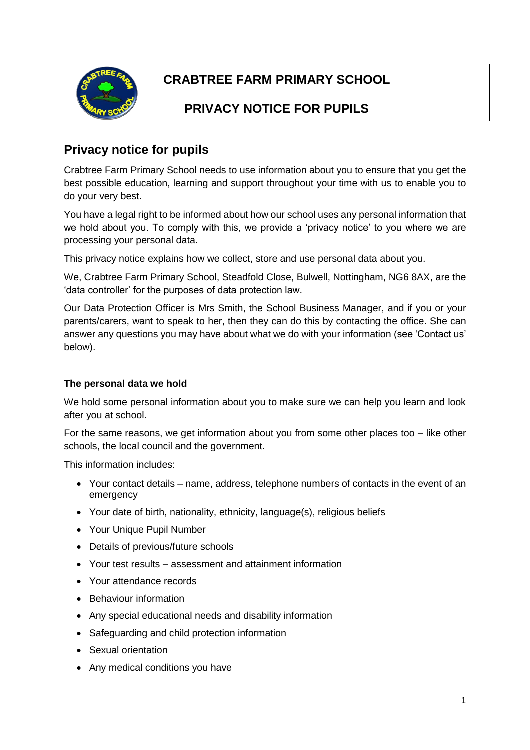

# **CRABTREE FARM PRIMARY SCHOOL**

# **PRIVACY NOTICE FOR PUPILS**

## **Privacy notice for pupils**

Crabtree Farm Primary School needs to use information about you to ensure that you get the best possible education, learning and support throughout your time with us to enable you to do your very best.

You have a legal right to be informed about how our school uses any personal information that we hold about you. To comply with this, we provide a 'privacy notice' to you where we are processing your personal data.

This privacy notice explains how we collect, store and use personal data about you.

We, Crabtree Farm Primary School, Steadfold Close, Bulwell, Nottingham, NG6 8AX, are the 'data controller' for the purposes of data protection law.

Our Data Protection Officer is Mrs Smith, the School Business Manager, and if you or your parents/carers, want to speak to her, then they can do this by contacting the office. She can answer any questions you may have about what we do with your information (see 'Contact us' below).

#### **The personal data we hold**

We hold some personal information about you to make sure we can help you learn and look after you at school.

For the same reasons, we get information about you from some other places too – like other schools, the local council and the government.

This information includes:

- Your contact details name, address, telephone numbers of contacts in the event of an emergency
- Your date of birth, nationality, ethnicity, language(s), religious beliefs
- Your Unique Pupil Number
- Details of previous/future schools
- Your test results assessment and attainment information
- Your attendance records
- Behaviour information
- Any special educational needs and disability information
- Safeguarding and child protection information
- Sexual orientation
- Any medical conditions you have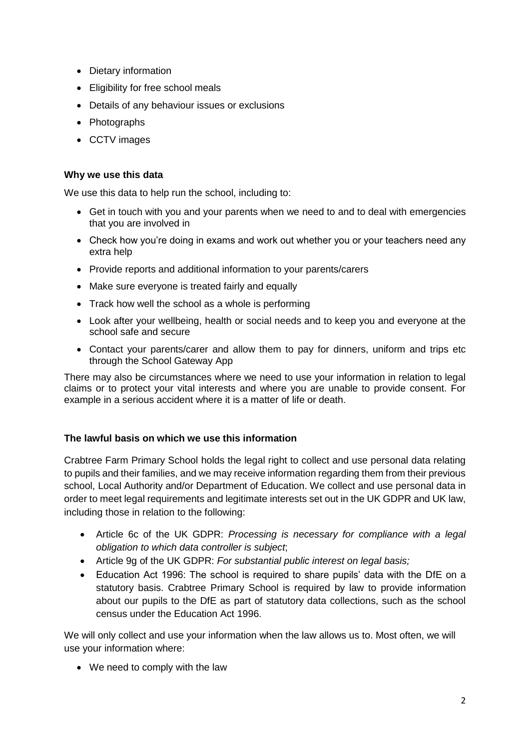- Dietary information
- Eligibility for free school meals
- Details of any behaviour issues or exclusions
- Photographs
- CCTV images

#### **Why we use this data**

We use this data to help run the school, including to:

- Get in touch with you and your parents when we need to and to deal with emergencies that you are involved in
- Check how you're doing in exams and work out whether you or your teachers need any extra help
- Provide reports and additional information to your parents/carers
- Make sure everyone is treated fairly and equally
- Track how well the school as a whole is performing
- Look after your wellbeing, health or social needs and to keep you and everyone at the school safe and secure
- Contact your parents/carer and allow them to pay for dinners, uniform and trips etc through the School Gateway App

There may also be circumstances where we need to use your information in relation to legal claims or to protect your vital interests and where you are unable to provide consent. For example in a serious accident where it is a matter of life or death.

#### **The lawful basis on which we use this information**

Crabtree Farm Primary School holds the legal right to collect and use personal data relating to pupils and their families, and we may receive information regarding them from their previous school, Local Authority and/or Department of Education. We collect and use personal data in order to meet legal requirements and legitimate interests set out in the UK GDPR and UK law, including those in relation to the following:

- Article 6c of the UK GDPR: *Processing is necessary for compliance with a legal obligation to which data controller is subject*;
- Article 9g of the UK GDPR: *For substantial public interest on legal basis;*
- Education Act 1996: The school is required to share pupils' data with the DfE on a statutory basis. Crabtree Primary School is required by law to provide information about our pupils to the DfE as part of statutory data collections, such as the school census under the Education Act 1996.

We will only collect and use your information when the law allows us to. Most often, we will use your information where:

• We need to comply with the law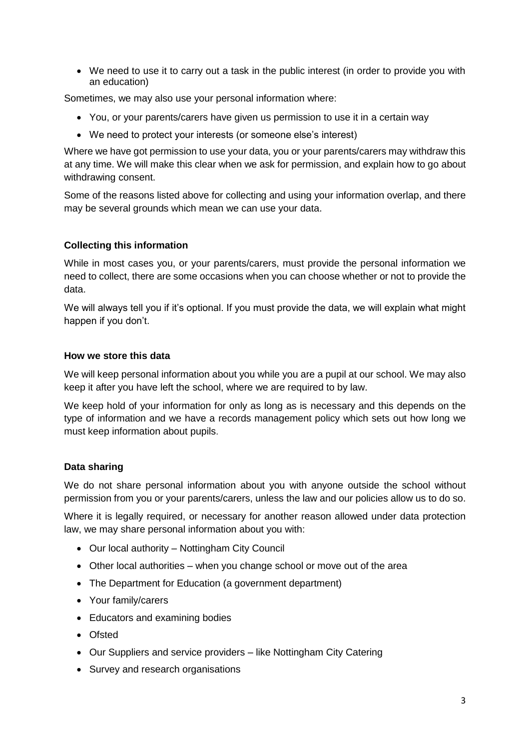• We need to use it to carry out a task in the public interest (in order to provide you with an education)

Sometimes, we may also use your personal information where:

- You, or your parents/carers have given us permission to use it in a certain way
- We need to protect your interests (or someone else's interest)

Where we have got permission to use your data, you or your parents/carers may withdraw this at any time. We will make this clear when we ask for permission, and explain how to go about withdrawing consent.

Some of the reasons listed above for collecting and using your information overlap, and there may be several grounds which mean we can use your data.

#### **Collecting this information**

While in most cases you, or your parents/carers, must provide the personal information we need to collect, there are some occasions when you can choose whether or not to provide the data.

We will always tell you if it's optional. If you must provide the data, we will explain what might happen if you don't.

#### **How we store this data**

We will keep personal information about you while you are a pupil at our school. We may also keep it after you have left the school, where we are required to by law.

We keep hold of your information for only as long as is necessary and this depends on the type of information and we have a records management policy which sets out how long we must keep information about pupils.

#### **Data sharing**

We do not share personal information about you with anyone outside the school without permission from you or your parents/carers, unless the law and our policies allow us to do so.

Where it is legally required, or necessary for another reason allowed under data protection law, we may share personal information about you with:

- Our local authority Nottingham City Council
- Other local authorities when you change school or move out of the area
- The Department for Education (a government department)
- Your family/carers
- Educators and examining bodies
- Ofsted
- Our Suppliers and service providers like Nottingham City Catering
- Survey and research organisations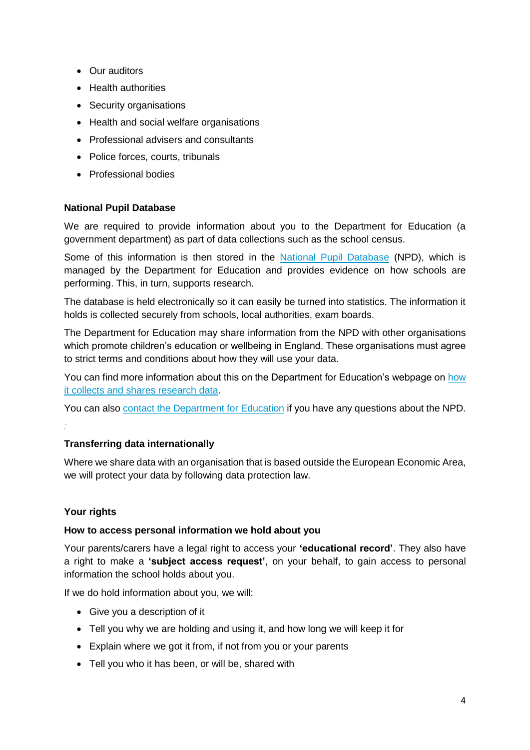- Our auditors
- Health authorities
- Security organisations
- Health and social welfare organisations
- Professional advisers and consultants
- Police forces, courts, tribunals
- Professional bodies

#### **National Pupil Database**

We are required to provide information about you to the Department for Education (a government department) as part of data collections such as the school census.

Some of this information is then stored in the [National Pupil Database](https://www.gov.uk/government/publications/national-pupil-database-user-guide-and-supporting-information) (NPD), which is managed by the Department for Education and provides evidence on how schools are performing. This, in turn, supports research.

The database is held electronically so it can easily be turned into statistics. The information it holds is collected securely from schools, local authorities, exam boards.

The Department for Education may share information from the NPD with other organisations which promote children's education or wellbeing in England. These organisations must agree to strict terms and conditions about how they will use your data.

You can find more information about this on the Department for Education's webpage on [how](https://www.gov.uk/data-protection-how-we-collect-and-share-research-data)  [it collects and shares research data.](https://www.gov.uk/data-protection-how-we-collect-and-share-research-data)

You can also [contact the Department for Education](https://www.gov.uk/contact-dfe) if you have any questions about the NPD. *:*

#### **Transferring data internationally**

Where we share data with an organisation that is based outside the European Economic Area, we will protect your data by following data protection law.

### **Your rights**

#### **How to access personal information we hold about you**

Your parents/carers have a legal right to access your **'educational record'**. They also have a right to make a **'subject access request'**, on your behalf, to gain access to personal information the school holds about you.

If we do hold information about you, we will:

- Give you a description of it
- Tell you why we are holding and using it, and how long we will keep it for
- Explain where we got it from, if not from you or your parents
- Tell you who it has been, or will be, shared with